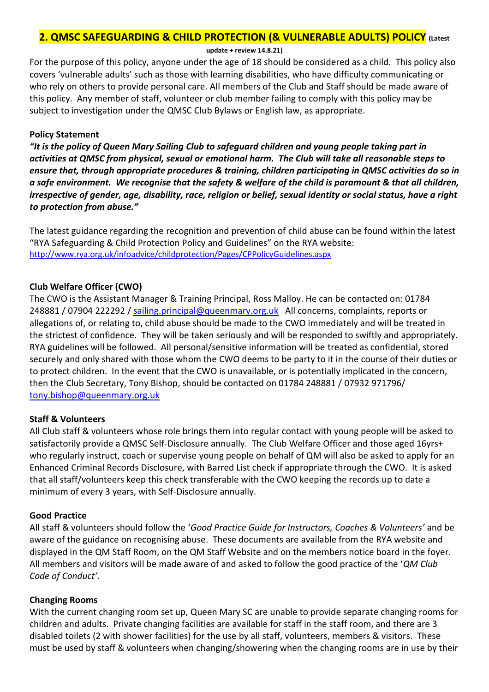# **2. QMSC SAFEGUARDING & CHILD PROTECTION (& VULNERABLE ADULTS) POLICY (Latest**

**update + review 14.8.21)**

For the purpose of this policy, anyone under the age of 18 should be considered as a child. This policy also covers 'vulnerable adults' such as those with learning disabilities, who have difficulty communicating or who rely on others to provide personal care. All members of the Club and Staff should be made aware of this policy. Any member of staff, volunteer or club member failing to comply with this policy may be subject to investigation under the QMSC Club Bylaws or English law, as appropriate.

#### **Policy Statement**

*"It is the policy of Queen Mary Sailing Club to safeguard children and young people taking part in activities at QMSC from physical, sexual or emotional harm. The Club will take all reasonable steps to ensure that, through appropriate procedures & training, children participating in QMSC activities do so in a safe environment. We recognise that the safety & welfare of the child is paramount & that all children, irrespective of gender, age, disability, race, religion or belief, sexual identity or social status, have a right to protection from abuse."*

The latest guidance regarding the recognition and prevention of child abuse can be found within the latest "RYA Safeguarding & Child Protection Policy and Guidelines" on the RYA website: <http://www.rya.org.uk/infoadvice/childprotection/Pages/CPPolicyGuidelines.aspx>

### **Club Welfare Officer (CWO)**

The CWO is the Assistant Manager & Training Principal, Ross Malloy. He can be contacted on: 01784 248881 / 07904 222292 / [sailing.principal@queenmary.org.uk](mailto:vicki.thurston@queenmary.org.uk) All concerns, complaints, reports or allegations of, or relating to, child abuse should be made to the CWO immediately and will be treated in the strictest of confidence. They will be taken seriously and will be responded to swiftly and appropriately. RYA guidelines will be followed. All personal/sensitive information will be treated as confidential, stored securely and only shared with those whom the CWO deems to be party to it in the course of their duties or to protect children. In the event that the CWO is unavailable, or is potentially implicated in the concern, then the Club Secretary, Tony Bishop, should be contacted on 01784 248881 / 07932 971796/ [tony.bishop@queenmary.org.uk](mailto:tony.bishop@queenmary.org.uk)

### **Staff & Volunteers**

All Club staff & volunteers whose role brings them into regular contact with young people will be asked to satisfactorily provide a QMSC Self-Disclosure annually. The Club Welfare Officer and those aged 16yrs+ who regularly instruct, coach or supervise young people on behalf of QM will also be asked to apply for an Enhanced Criminal Records Disclosure, with Barred List check if appropriate through the CWO. It is asked that all staff/volunteers keep this check transferable with the CWO keeping the records up to date a minimum of every 3 years, with Self-Disclosure annually.

### **Good Practice**

All staff & volunteers should follow the '*Good Practice Guide for Instructors, Coaches & Volunteers'* and be aware of the guidance on recognising abuse. These documents are available from the RYA website and displayed in the QM Staff Room, on the QM Staff Website and on the members notice board in the foyer. All members and visitors will be made aware of and asked to follow the good practice of the '*QM Club Code of Conduct'.*

### **Changing Rooms**

With the current changing room set up, Queen Mary SC are unable to provide separate changing rooms for children and adults. Private changing facilities are available for staff in the staff room, and there are 3 disabled toilets (2 with shower facilities) for the use by all staff, volunteers, members & visitors. These must be used by staff & volunteers when changing/showering when the changing rooms are in use by their